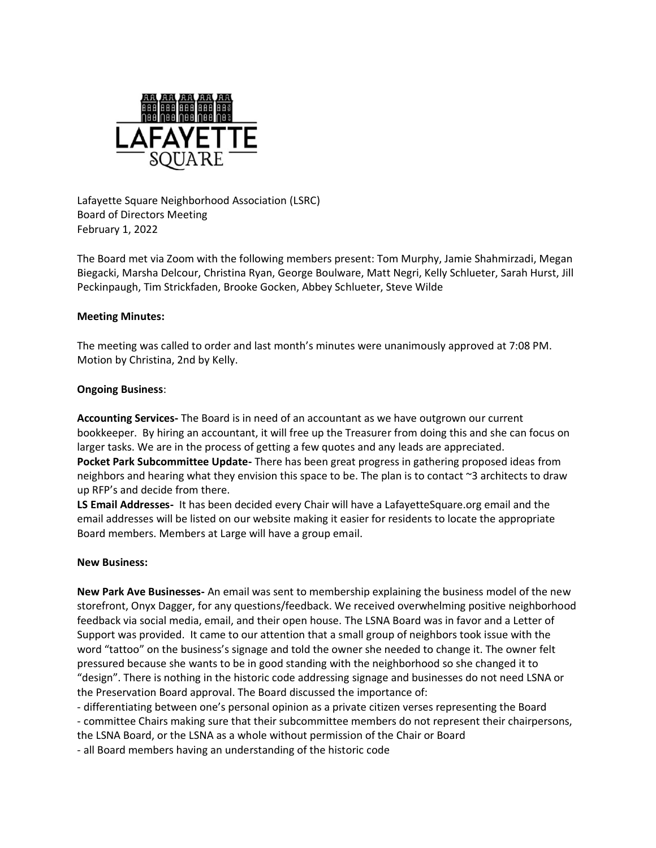

Lafayette Square Neighborhood Association (LSRC) Board of Directors Meeting February 1, 2022

The Board met via Zoom with the following members present: Tom Murphy, Jamie Shahmirzadi, Megan Biegacki, Marsha Delcour, Christina Ryan, George Boulware, Matt Negri, Kelly Schlueter, Sarah Hurst, Jill Peckinpaugh, Tim Strickfaden, Brooke Gocken, Abbey Schlueter, Steve Wilde

## **Meeting Minutes:**

The meeting was called to order and last month's minutes were unanimously approved at 7:08 PM. Motion by Christina, 2nd by Kelly.

## **Ongoing Business**:

up RFP's and decide from there.

**Accounting Services-** The Board is in need of an accountant as we have outgrown our current bookkeeper. By hiring an accountant, it will free up the Treasurer from doing this and she can focus on larger tasks. We are in the process of getting a few quotes and any leads are appreciated. **Pocket Park Subcommittee Update-** There has been great progress in gathering proposed ideas from neighbors and hearing what they envision this space to be. The plan is to contact ~3 architects to draw

**LS Email Addresses-** It has been decided every Chair will have a LafayetteSquare.org email and the email addresses will be listed on our website making it easier for residents to locate the appropriate Board members. Members at Large will have a group email.

#### **New Business:**

**New Park Ave Businesses-** An email was sent to membership explaining the business model of the new storefront, Onyx Dagger, for any questions/feedback. We received overwhelming positive neighborhood feedback via social media, email, and their open house. The LSNA Board was in favor and a Letter of Support was provided. It came to our attention that a small group of neighbors took issue with the word "tattoo" on the business's signage and told the owner she needed to change it. The owner felt pressured because she wants to be in good standing with the neighborhood so she changed it to "design". There is nothing in the historic code addressing signage and businesses do not need LSNA or the Preservation Board approval. The Board discussed the importance of:

- differentiating between one's personal opinion as a private citizen verses representing the Board - committee Chairs making sure that their subcommittee members do not represent their chairpersons, the LSNA Board, or the LSNA as a whole without permission of the Chair or Board

- all Board members having an understanding of the historic code